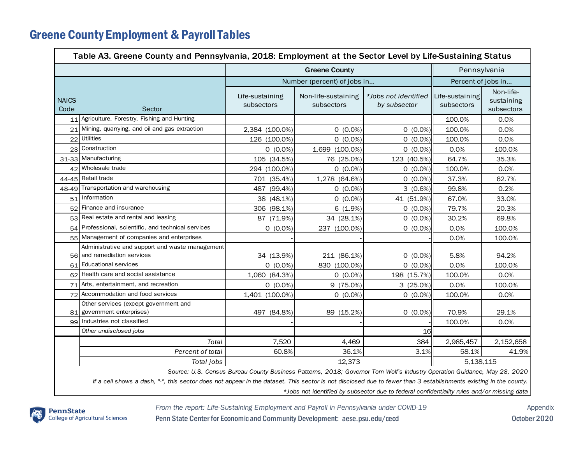## Greene County Employment & Payroll Tables

| Table A3. Greene County and Pennsylvania, 2018: Employment at the Sector Level by Life-Sustaining Status                                                                                                                                                                                                                                                                                   |                                                                                |                               |                                   |                                      |                               |                                       |  |  |  |  |  |
|--------------------------------------------------------------------------------------------------------------------------------------------------------------------------------------------------------------------------------------------------------------------------------------------------------------------------------------------------------------------------------------------|--------------------------------------------------------------------------------|-------------------------------|-----------------------------------|--------------------------------------|-------------------------------|---------------------------------------|--|--|--|--|--|
|                                                                                                                                                                                                                                                                                                                                                                                            | <b>Greene County</b>                                                           |                               |                                   |                                      | Pennsylvania                  |                                       |  |  |  |  |  |
|                                                                                                                                                                                                                                                                                                                                                                                            |                                                                                |                               | Number (percent) of jobs in       |                                      |                               | Percent of jobs in                    |  |  |  |  |  |
| <b>NAICS</b><br>Code<br>Sector                                                                                                                                                                                                                                                                                                                                                             |                                                                                | Life-sustaining<br>subsectors | Non-life-sustaining<br>subsectors | *Jobs not identified<br>by subsector | Life-sustaining<br>subsectors | Non-life-<br>sustaining<br>subsectors |  |  |  |  |  |
| 11                                                                                                                                                                                                                                                                                                                                                                                         | Agriculture, Forestry, Fishing and Hunting                                     |                               |                                   |                                      | 100.0%                        | 0.0%                                  |  |  |  |  |  |
| 21                                                                                                                                                                                                                                                                                                                                                                                         | Mining, quarrying, and oil and gas extraction                                  | 2,384 (100.0%)                | $0(0.0\%)$                        | $0(0.0\%)$                           | 100.0%                        | 0.0%                                  |  |  |  |  |  |
| 22                                                                                                                                                                                                                                                                                                                                                                                         | <b>Utilities</b>                                                               | 126 (100.0%)                  | $0(0.0\%)$                        | $0(0.0\%)$                           | 100.0%                        | 0.0%                                  |  |  |  |  |  |
| 23                                                                                                                                                                                                                                                                                                                                                                                         | Construction                                                                   | $0(0.0\%)$                    | 1,699 (100.0%)                    | $0(0.0\%)$                           | 0.0%                          | 100.0%                                |  |  |  |  |  |
|                                                                                                                                                                                                                                                                                                                                                                                            | 31-33 Manufacturing                                                            | 105 (34.5%)                   | 76 (25.0%)                        | 123 (40.5%)                          | 64.7%                         | 35.3%                                 |  |  |  |  |  |
|                                                                                                                                                                                                                                                                                                                                                                                            | 42 Wholesale trade                                                             | 294 (100.0%)                  | $0(0.0\%)$                        | $0(0.0\%)$                           | 100.0%                        | 0.0%                                  |  |  |  |  |  |
| 44-45                                                                                                                                                                                                                                                                                                                                                                                      | Retail trade                                                                   | 701 (35.4%)                   | 1,278 (64.6%)                     | $0(0.0\%)$                           | 37.3%                         | 62.7%                                 |  |  |  |  |  |
|                                                                                                                                                                                                                                                                                                                                                                                            | 48-49 Transportation and warehousing                                           | $(99.4\%)$<br>487             | $0(0.0\%)$                        | $3(0.6\%)$                           | 99.8%                         | 0.2%                                  |  |  |  |  |  |
|                                                                                                                                                                                                                                                                                                                                                                                            | 51 Information                                                                 | 38 (48.1%)                    | $0(0.0\%)$                        | 41 (51.9%)                           | 67.0%                         | 33.0%                                 |  |  |  |  |  |
| 52                                                                                                                                                                                                                                                                                                                                                                                         | Finance and insurance                                                          | 306 (98.1%)                   | 6(1.9%)                           | $0(0.0\%)$                           | 79.7%                         | 20.3%                                 |  |  |  |  |  |
| 53                                                                                                                                                                                                                                                                                                                                                                                         | Real estate and rental and leasing                                             | 87 (71.9%)                    | 34 (28.1%)                        | $0(0.0\%)$                           | 30.2%                         | 69.8%                                 |  |  |  |  |  |
|                                                                                                                                                                                                                                                                                                                                                                                            | 54 Professional, scientific, and technical services                            | $0(0.0\%)$                    | 237 (100.0%)                      | $0(0.0\%)$                           | 0.0%                          | 100.0%                                |  |  |  |  |  |
|                                                                                                                                                                                                                                                                                                                                                                                            | 55 Management of companies and enterprises                                     |                               |                                   |                                      | 0.0%                          | 100.0%                                |  |  |  |  |  |
|                                                                                                                                                                                                                                                                                                                                                                                            | Administrative and support and waste management<br>56 and remediation services | 34 (13.9%)                    | 211 (86.1%)                       | $0(0.0\%)$                           | 5.8%                          | 94.2%                                 |  |  |  |  |  |
|                                                                                                                                                                                                                                                                                                                                                                                            | 61 Educational services                                                        | $0(0.0\%)$                    | 830 (100.0%)                      | $0(0.0\%)$                           | 0.0%                          | 100.0%                                |  |  |  |  |  |
|                                                                                                                                                                                                                                                                                                                                                                                            | 62 Health care and social assistance                                           | 1,060 (84.3%)                 | $0(0.0\%)$                        | 198 (15.7%)                          | 100.0%                        | 0.0%                                  |  |  |  |  |  |
| 71                                                                                                                                                                                                                                                                                                                                                                                         | Arts, entertainment, and recreation                                            | $0(0.0\%)$                    | 9 (75.0%)                         | 3(25.0%)                             | 0.0%                          | 100.0%                                |  |  |  |  |  |
| 72                                                                                                                                                                                                                                                                                                                                                                                         | Accommodation and food services                                                | 1,401 (100.0%)                | $0(0.0\%)$                        | $0(0.0\%)$                           | 100.0%                        | 0.0%                                  |  |  |  |  |  |
|                                                                                                                                                                                                                                                                                                                                                                                            | Other services (except government and<br>81 government enterprises)            | 497 (84.8%)                   | 89 (15.2%)                        | $0(0.0\%)$                           | 70.9%                         | 29.1%                                 |  |  |  |  |  |
|                                                                                                                                                                                                                                                                                                                                                                                            | 99 Industries not classified                                                   |                               |                                   |                                      | 100.0%                        | 0.0%                                  |  |  |  |  |  |
|                                                                                                                                                                                                                                                                                                                                                                                            | Other undisclosed jobs                                                         |                               |                                   | 16                                   |                               |                                       |  |  |  |  |  |
|                                                                                                                                                                                                                                                                                                                                                                                            | Total                                                                          | 7,520                         | 4,469                             | 384                                  | 2,985,457                     | 2, 152, 658                           |  |  |  |  |  |
|                                                                                                                                                                                                                                                                                                                                                                                            | Percent of total                                                               | 60.8%                         | 36.1%                             | 3.1%                                 | 58.1%                         | 41.9%                                 |  |  |  |  |  |
|                                                                                                                                                                                                                                                                                                                                                                                            | Total jobs                                                                     | 12,373                        |                                   |                                      | 5, 138, 115                   |                                       |  |  |  |  |  |
| Source: U.S. Census Bureau County Business Patterns, 2018; Governor Tom Wolf's Industry Operation Guidance, May 28, 2020<br>If a cell shows a dash, "-", this sector does not appear in the dataset. This sector is not disclosed due to fewer than 3 establishments existing in the county.<br>*Jobs not identified by subsector due to federal confidentiality rules and/or missing data |                                                                                |                               |                                   |                                      |                               |                                       |  |  |  |  |  |

*From the report: Life-Sustaining Employment and Payroll in Pennsylvania under COVID-19* Appendix



Penn State Center for Economic and Community Development: aese.psu.edu/cecd October 2020